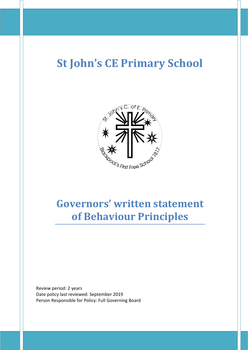# **St John's CE Primary School**



## **Governors' written statement of Behaviour Principles**

Review period: 2 years Date policy last reviewed: September 2019 Person Responsible for Policy: Full Governing Board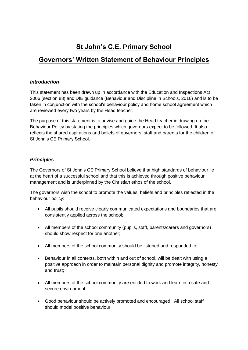## **St John's C.E. Primary School**

### **Governors' Written Statement of Behaviour Principles**

#### *Introduction*

This statement has been drawn up in accordance with the Education and Inspections Act 2006 (section 88) and DfE guidance (Behaviour and Discipline in Schools, 2016) and is to be taken in conjunction with the school's behaviour policy and home school agreement which are reviewed every two years by the Head teacher.

The purpose of this statement is to advise and guide the Head teacher in drawing up the Behaviour Policy by stating the principles which governors expect to be followed. It also reflects the shared aspirations and beliefs of governors, staff and parents for the children of St John's CE Primary School.

#### *Principles*

The Governors of St John's CE Primary School believe that high standards of behaviour lie at the heart of a successful school and that this is achieved through positive behaviour management and is underpinned by the Christian ethos of the school.

The governors wish the school to promote the values, beliefs and principles reflected in the behaviour policy:

- All pupils should receive clearly communicated expectations and boundaries that are consistently applied across the school;
- All members of the school community (pupils, staff, parents/carers and governors) should show respect for one another;
- All members of the school community should be listened and responded to;
- Behaviour in all contexts, both within and out of school, will be dealt with using a positive approach in order to maintain personal dignity and promote integrity, honesty and trust;
- All members of the school community are entitled to work and learn in a safe and secure environment;
- Good behaviour should be actively promoted and encouraged. All school staff should model positive behaviour;